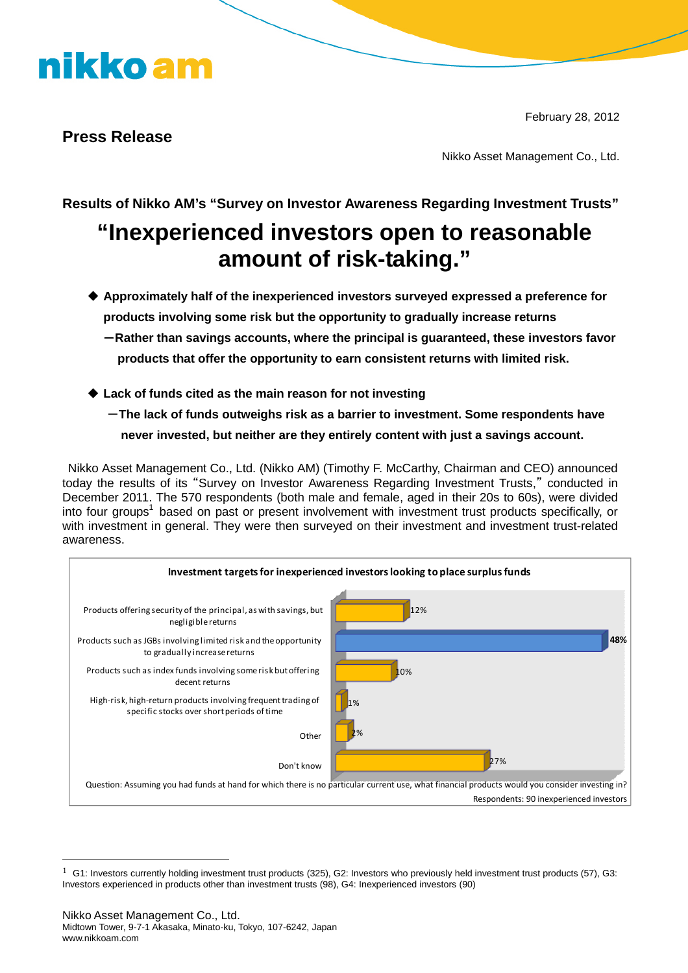# nikko am

February 28, 2012

### **Press Release**

Nikko Asset Management Co., Ltd.

**Results of Nikko AM's "Survey on Investor Awareness Regarding Investment Trusts"**

### **"Inexperienced investors open to reasonable amount of risk-taking."**

- **Approximately half of the inexperienced investors surveyed expressed a preference for products involving some risk but the opportunity to gradually increase returns**
	- -**Rather than savings accounts, where the principal is guaranteed, these investors favor products that offer the opportunity to earn consistent returns with limited risk.**
- **Lack of funds cited as the main reason for not investing**
	- -**The lack of funds outweighs risk as a barrier to investment. Some respondents have never invested, but neither are they entirely content with just a savings account.**

Nikko Asset Management Co., Ltd. (Nikko AM) (Timothy F. McCarthy, Chairman and CEO) announced today the results of its "Survey on Investor Awareness Regarding Investment Trusts," conducted in December 2011. The 570 respondents (both male and female, aged in their 20s to 60s), were divided into four groups<sup>1</sup> based on past or present involvement with investment trust products specifically, or with investment in general. They were then surveyed on their investment and investment trust-related awareness.



 $1\,$  G1: Investors currently holding investment trust products (325), G2: Investors who previously held investment trust products (57), G3: Investors experienced in products other than investment trusts (98), G4: Inexperienced investors (90)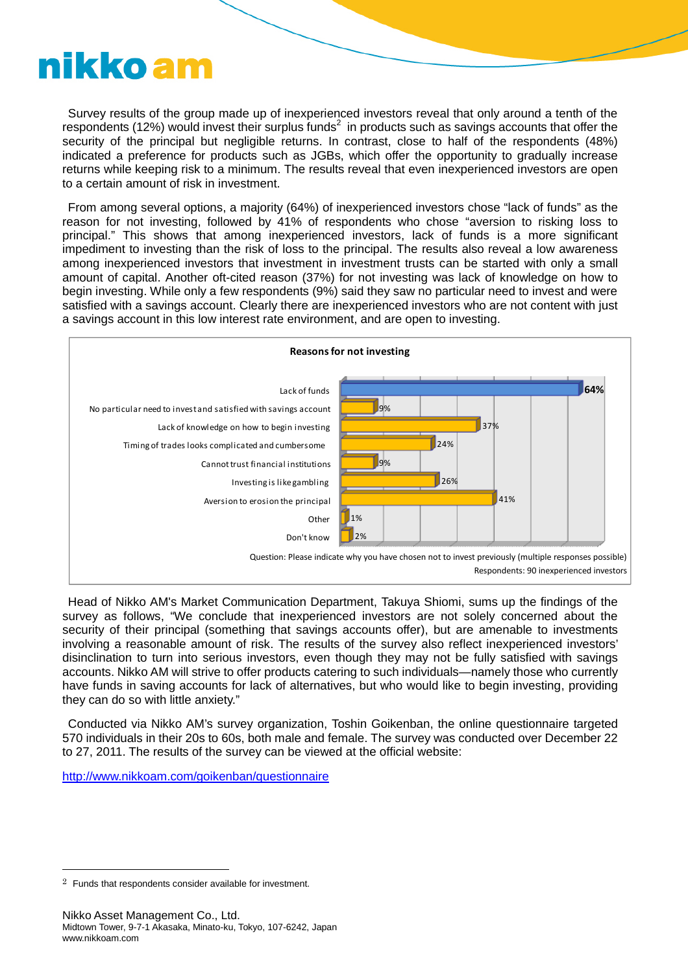# nikko am

Survey results of the group made up of inexperienced investors reveal that only around a tenth of the respondents (12%) would invest their surplus funds<sup>2</sup> in products such as savings accounts that offer the security of the principal but negligible returns. In contrast, close to half of the respondents (48%) indicated a preference for products such as JGBs, which offer the opportunity to gradually increase returns while keeping risk to a minimum. The results reveal that even inexperienced investors are open to a certain amount of risk in investment.

From among several options, a majority (64%) of inexperienced investors chose "lack of funds" as the reason for not investing, followed by 41% of respondents who chose "aversion to risking loss to principal." This shows that among inexperienced investors, lack of funds is a more significant impediment to investing than the risk of loss to the principal. The results also reveal a low awareness among inexperienced investors that investment in investment trusts can be started with only a small amount of capital. Another oft-cited reason (37%) for not investing was lack of knowledge on how to begin investing. While only a few respondents (9%) said they saw no particular need to invest and were satisfied with a savings account. Clearly there are inexperienced investors who are not content with just a savings account in this low interest rate environment, and are open to investing.



Head of Nikko AM's Market Communication Department, Takuya Shiomi, sums up the findings of the survey as follows, "We conclude that inexperienced investors are not solely concerned about the security of their principal (something that savings accounts offer), but are amenable to investments involving a reasonable amount of risk. The results of the survey also reflect inexperienced investors' disinclination to turn into serious investors, even though they may not be fully satisfied with savings accounts. Nikko AM will strive to offer products catering to such individuals—namely those who currently have funds in saving accounts for lack of alternatives, but who would like to begin investing, providing they can do so with little anxiety."

Conducted via Nikko AM's survey organization, Toshin Goikenban, the online questionnaire targeted 570 individuals in their 20s to 60s, both male and female. The survey was conducted over December 22 to 27, 2011. The results of the survey can be viewed at the official website:

http://www.nikkoam.com/goikenban/questionnaire

 $2$  Funds that respondents consider available for investment.